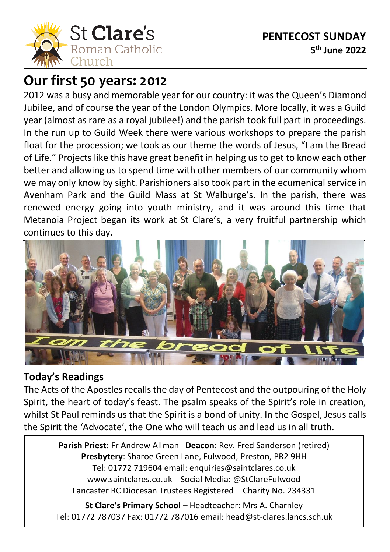

# **Our first 50 years: 2012**

2012 was a busy and memorable year for our country: it was the Queen's Diamond Jubilee, and of course the year of the London Olympics. More locally, it was a Guild year (almost as rare as a royal jubilee!) and the parish took full part in proceedings. In the run up to Guild Week there were various workshops to prepare the parish float for the procession; we took as our theme the words of Jesus, "I am the Bread of Life." Projects like this have great benefit in helping us to get to know each other better and allowing us to spend time with other members of our community whom we may only know by sight. Parishioners also took part in the ecumenical service in Avenham Park and the Guild Mass at St Walburge's. In the parish, there was renewed energy going into youth ministry, and it was around this time that Metanoia Project began its work at St Clare's, a very fruitful partnership which continues to this day.



### **Today's Readings**

The Acts of the Apostles recalls the day of Pentecost and the outpouring of the Holy Spirit, the heart of today's feast. The psalm speaks of the Spirit's role in creation, whilst St Paul reminds us that the Spirit is a bond of unity. In the Gospel, Jesus calls the Spirit the 'Advocate', the One who will teach us and lead us in all truth.

> **Parish Priest:** Fr Andrew Allman **Deacon**: Rev. Fred Sanderson (retired) **Presbytery**: Sharoe Green Lane, Fulwood, Preston, PR2 9HH Tel: 01772 719604 email: enquiries@saintclares.co.uk www.saintclares.co.uk Social Media: @StClareFulwood Lancaster RC Diocesan Trustees Registered – Charity No. 234331

**St Clare's Primary School** – Headteacher: Mrs A. Charnley Tel: 01772 787037 Fax: 01772 787016 email: head@st-clares.lancs.sch.uk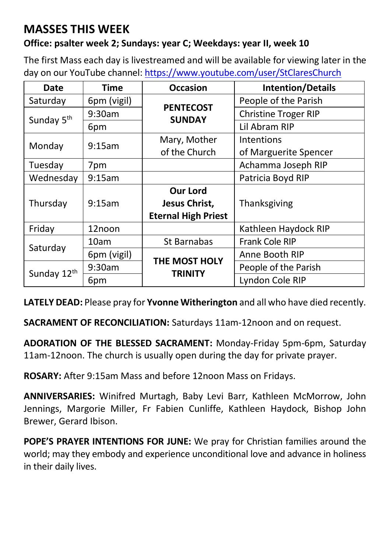## **MASSES THIS WEEK**

#### **Office: psalter week 2; Sundays: year C; Weekdays: year II, week 10**

The first Mass each day is livestreamed and will be available for viewing later in the day on our YouTube channel[: https://www.youtube.com/user/StClaresChurch](https://www.youtube.com/user/StClaresChurch)

| Date                   | <b>Time</b> | <b>Occasion</b>                   | <b>Intention/Details</b>    |  |
|------------------------|-------------|-----------------------------------|-----------------------------|--|
| Saturday               | 6pm (vigil) |                                   | People of the Parish        |  |
| Sunday 5 <sup>th</sup> | 9:30am      | <b>PENTECOST</b><br><b>SUNDAY</b> | <b>Christine Troger RIP</b> |  |
|                        | 6pm         |                                   | Lil Abram RIP               |  |
|                        | 9:15am      | Mary, Mother                      | Intentions                  |  |
| Monday                 |             | of the Church                     | of Marguerite Spencer       |  |
| Tuesday                | 7pm         |                                   | Achamma Joseph RIP          |  |
| Wednesday              | 9:15am      |                                   | Patricia Boyd RIP           |  |
| Thursday               | 9:15am      | <b>Our Lord</b>                   |                             |  |
|                        |             | Jesus Christ,                     | Thanksgiving                |  |
|                        |             | <b>Eternal High Priest</b>        |                             |  |
| Friday                 | 12noon      |                                   | Kathleen Haydock RIP        |  |
| Saturday               | 10am        | St Barnabas                       | Frank Cole RIP              |  |
|                        | 6pm (vigil) | THE MOST HOLY<br>TRINITY          | Anne Booth RIP              |  |
| Sunday 12th            | 9:30am      |                                   | People of the Parish        |  |
|                        | 6pm         |                                   | Lyndon Cole RIP             |  |

**LATELY DEAD:** Please pray for **Yvonne Witherington** and all who have died recently.

**SACRAMENT OF RECONCILIATION:** Saturdays 11am-12noon and on request.

**ADORATION OF THE BLESSED SACRAMENT:** Monday-Friday 5pm-6pm, Saturday 11am-12noon. The church is usually open during the day for private prayer.

**ROSARY:** After 9:15am Mass and before 12noon Mass on Fridays.

**ANNIVERSARIES:** Winifred Murtagh, Baby Levi Barr, Kathleen McMorrow, John Jennings, Margorie Miller, Fr Fabien Cunliffe, Kathleen Haydock, Bishop John Brewer, Gerard Ibison.

**POPE'S PRAYER INTENTIONS FOR JUNE:** We pray for Christian families around the world; may they embody and experience unconditional love and advance in holiness in their daily lives.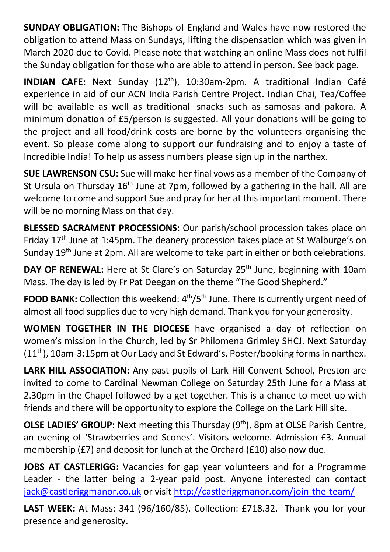**SUNDAY OBLIGATION:** The Bishops of England and Wales have now restored the obligation to attend Mass on Sundays, lifting the dispensation which was given in March 2020 due to Covid. Please note that watching an online Mass does not fulfil the Sunday obligation for those who are able to attend in person. See back page.

**INDIAN CAFE:** Next Sunday (12th), 10:30am-2pm. A traditional Indian Café experience in aid of our ACN India Parish Centre Project. Indian Chai, Tea/Coffee will be available as well as traditional snacks such as samosas and pakora. A minimum donation of £5/person is suggested. All your donations will be going to the project and all food/drink costs are borne by the volunteers organising the event. So please come along to support our fundraising and to enjoy a taste of Incredible India! To help us assess numbers please sign up in the narthex.

**SUE LAWRENSON CSU:** Sue will make her final vows as a member of the Company of St Ursula on Thursday 16<sup>th</sup> June at 7pm, followed by a gathering in the hall. All are welcome to come and support Sue and pray for her at this important moment. There will be no morning Mass on that day.

**BLESSED SACRAMENT PROCESSIONS:** Our parish/school procession takes place on Friday 17th June at 1:45pm. The deanery procession takes place at St Walburge's on Sunday 19<sup>th</sup> June at 2pm. All are welcome to take part in either or both celebrations.

**DAY OF RENEWAL:** Here at St Clare's on Saturday 25<sup>th</sup> June, beginning with 10am Mass. The day is led by Fr Pat Deegan on the theme "The Good Shepherd."

**FOOD BANK:** Collection this weekend: 4<sup>th</sup>/5<sup>th</sup> June. There is currently urgent need of almost all food supplies due to very high demand. Thank you for your generosity.

**WOMEN TOGETHER IN THE DIOCESE** have organised a day of reflection on women's mission in the Church, led by Sr Philomena Grimley SHCJ. Next Saturday  $(11<sup>th</sup>)$ , 10am-3:15pm at Our Lady and St Edward's. Poster/booking forms in narthex.

**LARK HILL ASSOCIATION:** Any past pupils of Lark Hill Convent School, Preston are invited to come to Cardinal Newman College on Saturday 25th June for a Mass at 2.30pm in the Chapel followed by a get together. This is a chance to meet up with friends and there will be opportunity to explore the College on the Lark Hill site.

**OLSE LADIES' GROUP:** Next meeting this Thursday (9<sup>th</sup>), 8pm at OLSE Parish Centre, an evening of 'Strawberries and Scones'. Visitors welcome. Admission £3. Annual membership (£7) and deposit for lunch at the Orchard (£10) also now due.

**JOBS AT CASTLERIGG:** Vacancies for gap year volunteers and for a Programme Leader - the latter being a 2-year paid post. Anyone interested can contact [jack@castleriggmanor.co.uk](mailto:jack@castleriggmanor.co.uk) or visit <http://castleriggmanor.com/join-the-team/>

**LAST WEEK:** At Mass: 341 (96/160/85). Collection: £718.32. Thank you for your presence and generosity.